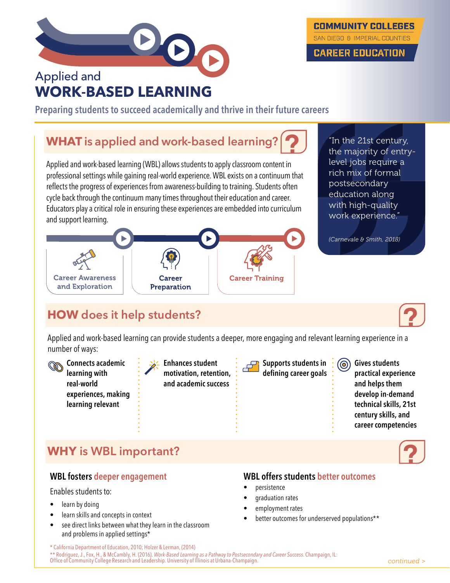

# **Applied and WORK-BASED LEARNING**

**Preparing students to succeed academically and thrive in their future careers**

## **WHAT is applied and work-based learning?**

Applied and work-based learning (WBL) allows students to apply classroom content in professional settings while gaining real-world experience. WBL exists on a continuum that reflects the progress of experiences from awareness-building to training. Students often cycle back through the continuum many times throughout their education and career. Educators play a critical role in ensuring these experiences are embedded into curriculum and support learning.



"In the 21st century, the majority of entrylevel jobs require a rich mix of formal postsecondary education along with high-quality work experience."

**COMMUNITY COLLEGES** 

SAN DIEGO & IMPERIAL COUNTIES

**CAREER EDUCATION** 



<u> ලා</u>

# **HOW does it help students?**

Applied and work-based learning can provide students a deeper, more engaging and relevant learning experience in a number of ways:

**Connects academic**  COS **learning with real-world experiences, making learning relevant**

**Enhances student motivation, retention, and academic success** 

**Supports students in defining career goals** **Gives students practical experience and helps them develop in-demand technical skills, 21st century skills, and career competencies**

### **WHY is WBL important?**

#### **WBL fosters deeper engagement**

#### Enables students to:

- learn by doing
- learn skills and concepts in context
- see direct links between what they learn in the classroom and problems in applied settings\*

#### **WBL offers students better outcomes**

- persistence
- graduation rates
- employment rates
- better outcomes for underserved populations\*\*

\* California Department of Education, 2010; Holzer & Lerman, (2014) \*\* Rodriguez, J., Fox, H., & McCambly, H. (2016). *Work-Based Learning as a Pathway to Postsecondary and Career Success*. Champaign, IL: Office of Community College Research and Leadership. University of Illinois at Urbana-Champaign.